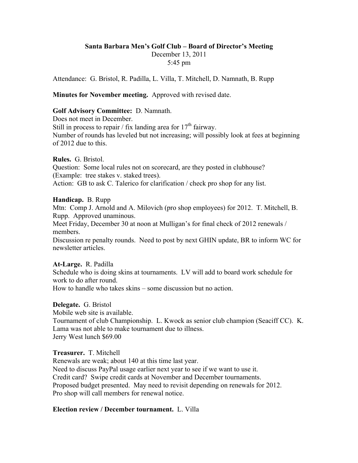#### **Santa Barbara Men's Golf Club – Board of Director's Meeting** December 13, 2011 5:45 pm

Attendance: G. Bristol, R. Padilla, L. Villa, T. Mitchell, D. Namnath, B. Rupp

## **Minutes for November meeting.** Approved with revised date.

# **Golf Advisory Committee:** D. Namnath.

Does not meet in December. Still in process to repair / fix landing area for  $17<sup>th</sup>$  fairway. Number of rounds has leveled but not increasing; will possibly look at fees at beginning of 2012 due to this.

#### **Rules.** G. Bristol.

Question: Some local rules not on scorecard, are they posted in clubhouse? (Example: tree stakes v. staked trees). Action: GB to ask C. Talerico for clarification / check pro shop for any list.

## **Handicap.** B. Rupp

Mtn: Comp J. Arnold and A. Milovich (pro shop employees) for 2012. T. Mitchell, B. Rupp. Approved unaminous.

Meet Friday, December 30 at noon at Mulligan's for final check of 2012 renewals / members.

Discussion re penalty rounds. Need to post by next GHIN update, BR to inform WC for newsletter articles.

## **At-Large.** R. Padilla

Schedule who is doing skins at tournaments. LV will add to board work schedule for work to do after round.

How to handle who takes skins – some discussion but no action.

## **Delegate.** G. Bristol

Mobile web site is available.

Tournament of club Championship. L. Kwock as senior club champion (Seaciff CC). K. Lama was not able to make tournament due to illness. Jerry West lunch \$69.00

## **Treasurer.** T. Mitchell

Renewals are weak; about 140 at this time last year. Need to discuss PayPal usage earlier next year to see if we want to use it. Credit card? Swipe credit cards at November and December tournaments. Proposed budget presented. May need to revisit depending on renewals for 2012. Pro shop will call members for renewal notice.

## **Election review / December tournament.** L. Villa